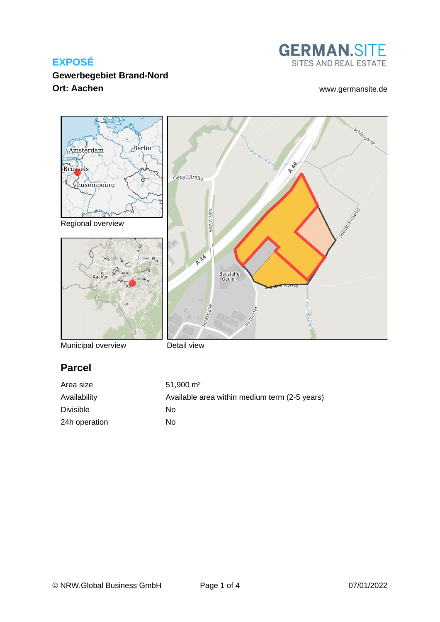#### **Gewerbegebiet Brand-Nord Ort: Aachen** [www.germansite.de](http://www.germansite.de)

## **GERMAN.SITE** SITES AND REAL ESTATE



Municipal overview

Detail view

## **Parcel**

| Area size        | $51.900 \text{ m}^2$                          |
|------------------|-----------------------------------------------|
| Availability     | Available area within medium term (2-5 years) |
| <b>Divisible</b> | Nο                                            |
| 24h operation    | No                                            |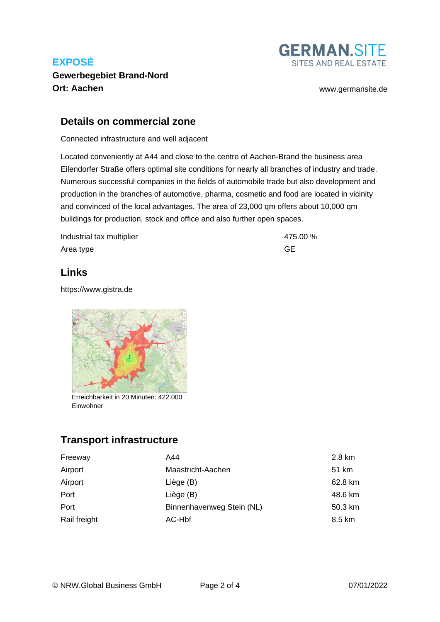

**Gewerbegebiet Brand-Nord Ort: Aachen** [www.germansite.de](http://www.germansite.de)

#### **Details on commercial zone**

Connected infrastructure and well adjacent

Located conveniently at A44 and close to the centre of Aachen-Brand the business area Eilendorfer Straße offers optimal site conditions for nearly all branches of industry and trade. Numerous successful companies in the fields of automobile trade but also development and production in the branches of automotive, pharma, cosmetic and food are located in vicinity and convinced of the local advantages. The area of 23,000 qm offers about 10,000 qm buildings for production, stock and office and also further open spaces.

Industrial tax multiplier and the state of the 475.00 % Area type GE

#### **Links**

<https://www.gistra.de>



Erreichbarkeit in 20 Minuten: 422.000 Einwohner

## **Transport infrastructure**

| Freeway      | A44                       | 2.8 km  |
|--------------|---------------------------|---------|
| Airport      | Maastricht-Aachen         | 51 km   |
| Airport      | Liège (B)                 | 62.8 km |
| Port         | Liège (B)                 | 48.6 km |
| Port         | Binnenhavenweg Stein (NL) | 50.3 km |
| Rail freight | AC-Hbf                    | 8.5 km  |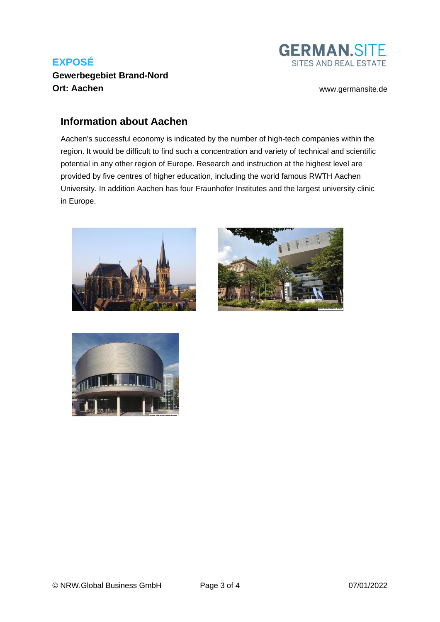

**Gewerbegebiet Brand-Nord Ort: Aachen** [www.germansite.de](http://www.germansite.de)

#### **Information about Aachen**

Aachen's successful economy is indicated by the number of high-tech companies within the region. It would be difficult to find such a concentration and variety of technical and scientific potential in any other region of Europe. Research and instruction at the highest level are provided by five centres of higher education, including the world famous RWTH Aachen University. In addition Aachen has four Fraunhofer Institutes and the largest university clinic in Europe.